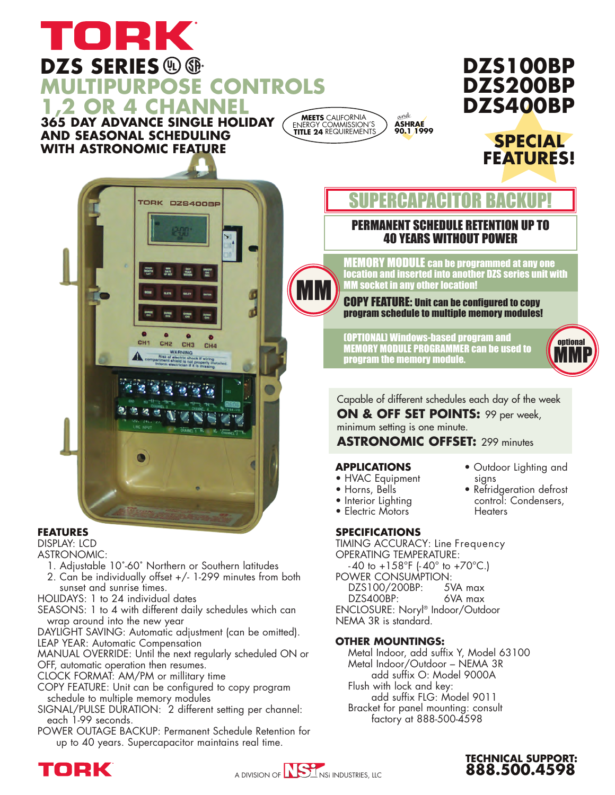### TORK **DZS SERIES MULTIPURPOSE CONTROLS 1,2 OR 4 CHANNEL 365 DAY ADVANCE SINGLE HOLIDAY**

**AND SEASONAL SCHEDULING WITH ASTRONOMIC FEATURE**



MM

# **DZS100BP DZS200BP DZS400BP**





#### **FEATURES**

DISPLAY: LCD

- ASTRONOMIC:
	- 1. Adjustable 10˚-60˚ Northern or Southern latitudes
- 2. Can be individually offset +/- 1-299 minutes from both sunset and sunrise times.
- HOLIDAYS: 1 to 24 individual dates

SEASONS: 1 to 4 with different daily schedules which can wrap around into the new year

DAYLIGHT SAVING: Automatic adjustment (can be omitted). LEAP YEAR: Automatic Compensation

MANUAL OVERRIDE: Until the next regularly scheduled ON or OFF, automatic operation then resumes.

CLOCK FORMAT: AM/PM or millitary time

COPY FEATURE: Unit can be configured to copy program schedule to multiple memory modules

- SIGNAL/PULSE DURATION: 2 different setting per channel: each 1-99 seconds.
- POWER OUTAGE BACKUP: Permanent Schedule Retention for up to 40 years. Supercapacitor maintains real time.

## SUPERCAPACITO

### PERMANENT SCHEDULE RETENTION UP TO 40 YEARS WITHOUT POWER

MEMORY MODULE can be programmed at any one location and inserted into another DZS series unit with MM socket in any other location!

#### COPY FEATURE: Unit can be configured to copy program schedule to multiple memory modules!

(OPTIONAL) Windows-based program and MEMORY MODULE PROGRAMMER can be used to program the memory module.



Capable of different schedules each day of the week **ON & OFF SET POINTS:** 99 per week, minimum setting is one minute. **ASTRONOMIC OFFSET:** 299 minutes

• Outdoor Lighting and

• Refridgeration defrost control: Condensers,

**TECHNICAL SUPPORT: 888.500.4598**

signs

**Heaters** 

#### **APPLICATIONS**

- HVAC Equipment
- Horns, Bells
- Interior Lighting
- Electric Motors

#### **SPECIFICATIONS**

TIMING ACCURACY: Line Frequency OPERATING TEMPERATURE:  $-40$  to  $+158$ °F ( $-40$ ° to  $+70$ °C.) POWER CONSUMPTION: DZS100/200BP: 5VA max DZS400BP: 6VA max ENCLOSURE: Noryl® Indoor/Outdoor NEMA 3R is standard.

#### **OTHER MOUNTINGS:**

Metal Indoor, add suffix Y, Model 63100 Metal Indoor/Outdoor – NEMA 3R add suffix O: Model 9000A Flush with lock and key: add suffix FLG: Model 9011 Bracket for panel mounting: consult factory at 888-500-4598